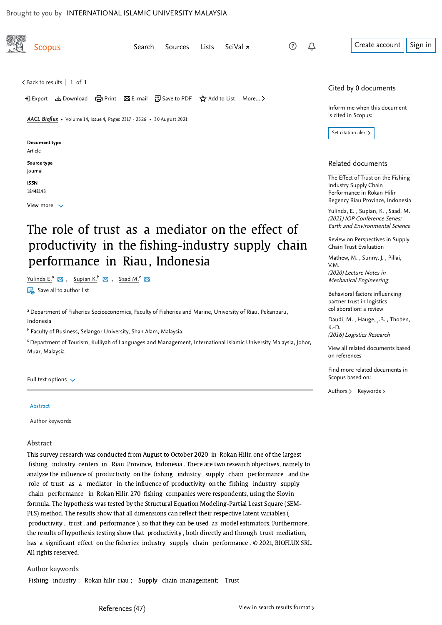<span id="page-0-0"></span>

# The role of trust as a mediator on the effect of productivity in the fishing-industry supply chain performance in Riau, Indonesia

Yulinda E.<sup>a</sup>  $\boxtimes$  , Supian K.<sup>b</sup>  $\boxtimes$  , Saad M.<sup>c</sup>

 $\frac{1}{100}$  Save all to author list

a Department of Fisheries Socioeconomics, Faculty of Fisheries and Marine, University of Riau, Pekanbaru, Indonesia

<sup>b</sup> Faculty of Business, Selangor University, Shah Alam, Malaysia

<sup>c</sup> Department of Tourism, Kulliyah of Languages and Management, International Islamic University Malaysia, Johor, Muar, Malaysia

#### Full text options  $\sqrt{}$

#### **Abstract**

Author keywords

#### Abstract

This survey research was conducted from August to October 2020 in Rokan Hilir, one of the largest fishing industry centers in Riau Province, Indonesia . There are two research objectives, namely to analyze the influence of productivity on the fishing industry supply chain performance , and the role of trust as a mediator in the influence of productivity on the fishing industry supply chain performance in Rokan Hilir. 270 fishing companies were respondents, using the Slovin formula. The hypothesis was tested by the Structural Equation Modeling-Partial Least Square (SEM-PLS) method. The results show that all dimensions can reflect their respective latent variables ( productivity , trust , and performance ), so that they can be used as model estimators. Furthermore, the results of hypothesis testing show that productivity , both directly and through trust mediation, has a significant effect on the fisheries industry supply chain performance . © 2021, BIOFLUX SRL. All rights reserved.

Author keywords Fishing industry ; Rokan hilir riau ; Supply chain management; Trust (2021) IOP Conference Series: Earth and Environmental Science

[Review on Perspectives in Supply](https://www.scopus.com/record/display.uri?origin=recordpage&zone=relatedDocuments&eid=2-s2.0-85090734947&citeCnt=0&noHighlight=false&sort=plf-f&src=s&st1=The+role+of+trust+as+a+mediator+on+the+effect+of+productivity+in+the+fishing-industry+supply+chain+performance+in+Riau%2cIndonesia&sid=9cabc7e40a57d6588e45135ca54bd08e&sot=b&sdt=b&sl=144&s=TITLE-ABS-KEY%28The+role+of+trust+as+a+mediator+on+the+effect+of+productivity+in+the+fishing-industry+supply+chain+performance+in+Riau%2c+Indonesia%29&relpos=1) Chain Trust Evaluation

Mathew,M. , Sunny, J. , Pillai, (2020) Lecture Notes in Mechanical Engineering V.M.

[Behavioral factors influencing](https://www.scopus.com/record/display.uri?origin=recordpage&zone=relatedDocuments&eid=2-s2.0-84984620301&citeCnt=0&noHighlight=false&sort=plf-f&src=s&st1=The+role+of+trust+as+a+mediator+on+the+effect+of+productivity+in+the+fishing-industry+supply+chain+performance+in+Riau%2cIndonesia&sid=9cabc7e40a57d6588e45135ca54bd08e&sot=b&sdt=b&sl=144&s=TITLE-ABS-KEY%28The+role+of+trust+as+a+mediator+on+the+effect+of+productivity+in+the+fishing-industry+supply+chain+performance+in+Riau%2c+Indonesia%29&relpos=2) partner trust in logistics collaboration: a review

[Daudi, M.](https://www.scopus.com/authid/detail.uri?origin=recordpage&authorId=56103847000&zone=relatedDocuments) , Hauge, J.B. , Thoben, K.-D.

(2016) Logistics Research

[View all related documents based](https://www.scopus.com/search/submit/mlt.uri?eid=2-s2.0-85123303758&src=s&all=true&origin=recordpage&method=ref&zone=relatedDocuments) on references

Find more related documents in Scopus based on:

[Authors](https://www.scopus.com/search/submit/mlt.uri?eid=2-s2.0-85123303758&src=s&all=true&origin=recordpage&method=aut&zone=relatedDocuments) > [Keywords](https://www.scopus.com/search/submit/mlt.uri?eid=2-s2.0-85123303758&src=s&all=true&origin=recordpage&method=key&zone=relatedDocuments) >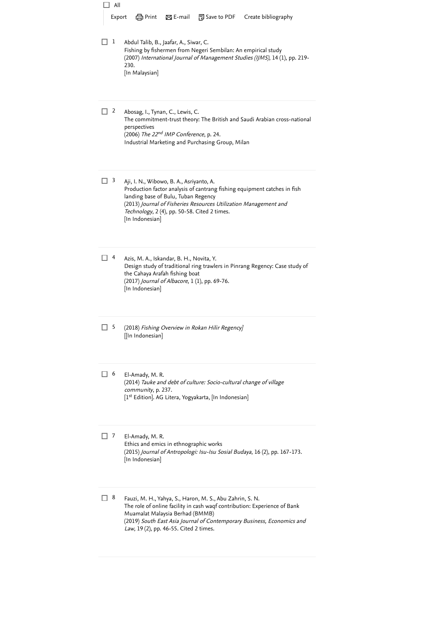Abdul Talib, B., Jaafar, A., Siwar, C. Fishing by fishermen from Negeri Sembilan: An empirical study (2007) International Journal of Management Studies (IJMS), 14 (1), pp. 219- 230. [In Malaysian] Abosag, I., Tynan, C., Lewis, C. The commitment-trust theory: The British and Saudi Arabian cross-national perspectives (2006) The 22<sup>nd</sup> IMP Conference, p. 24. Industrial Marketing and Purchasing Group, Milan Aji, I. N., Wibowo, B. A., Asriyanto, A. Production factor analysis of cantrang fishing equipment catches in fish landing base of Bulu, Tuban Regency (2013) Journal of Fisheries Resources Utilization Management and Technology, 2 (4), pp. 50-58. [Cited 2 times](https://www.scopus.com/search/submit/citedby.uri?eid=2-s2.0-85123303758&refeid=2-s2.0-85080936330&src=s&origin=reflist&refstat=dummy). [In Indonesian] Azis, M. A., Iskandar, B. H., Novita, Y. Design study of traditional ring trawlers in Pinrang Regency: Case study of the Cahaya Arafah fishing boat (2017) Journal of Albacore, 1 (1), pp. 69-76. [In Indonesian] (2018) Fishing Overview in Rokan Hilir Regency] [[In Indonesian] El-Amady, M. R. (2014) Tauke and debt of culture: Socio-cultural change of village community, p. 237. [1<sup>st</sup> Edition]. AG Litera, Yogyakarta, [In Indonesian] El-Amady, M. R. Ethics and emics in ethnographic works (2015) Journal of Antropologi: Isu-Isu Sosial Budaya, 16 (2), pp. 167-173. [In Indonesian] Fauzi, M. H., Yahya, S., Haron, M. S., Abu Zahrin, S. N. The role of online facility in cash waqf contribution: Experience of Bank Muamalat Malaysia Berhad (BMMB) (2019) South East Asia Journal of Contemporary Business, Economics and *Law*, 19 (2), pp. 46-55. [Cited 2 times](https://www.scopus.com/search/submit/citedby.uri?eid=2-s2.0-85123303758&refeid=2-s2.0-85109331455&src=s&origin=reflist&refstat=dummy).  $\Box$  All Export  $\Box$  Print  $\boxtimes$  E-mail  $\Box$  Save to PDF Create bibliography  $\Box$  1  $\Box$  2  $\Box$  3  $\Box$  4  $\Box$  5  $\Box$  6  $\Box$  7  $\Box$  8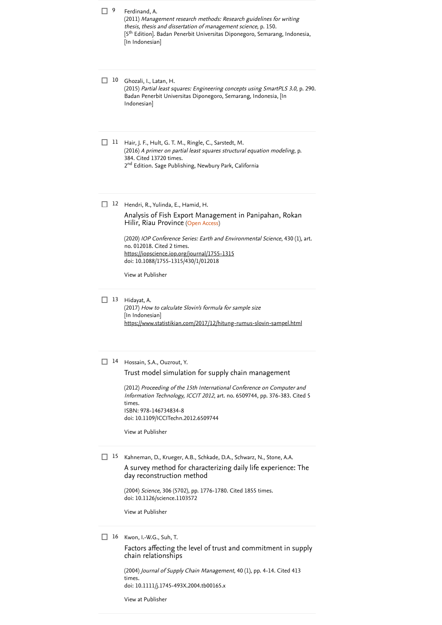| 9  | Ferdinand, A.<br>(2011) Management research methods: Research guidelines for writing<br>thesis, thesis and dissertation of management science, p. 150.<br>[5 <sup>th</sup> Edition]. Badan Penerbit Universitas Diponegoro, Semarang, Indonesia,<br>[In Indonesian]                                                                                          |
|----|--------------------------------------------------------------------------------------------------------------------------------------------------------------------------------------------------------------------------------------------------------------------------------------------------------------------------------------------------------------|
| 10 | Ghozali, I., Latan, H.<br>(2015) Partial least squares: Engineering concepts using SmartPLS 3.0, p. 290.<br>Badan Penerbit Universitas Diponegoro, Semarang, Indonesia, [In<br>Indonesian]                                                                                                                                                                   |
| 11 | Hair, J. F., Hult, G. T. M., Ringle, C., Sarstedt, M.<br>(2016) A primer on partial least squares structural equation modeling, p.<br>384. Cited 13720 times.<br>2 <sup>nd</sup> Edition. Sage Publishing, Newbury Park, California                                                                                                                          |
| 12 | Hendri, R., Yulinda, E., Hamid, H.<br>Analysis of Fish Export Management in Panipahan, Rokan<br>Hilir, Riau Province (Open Access)<br>(2020) IOP Conference Series: Earth and Environmental Science, 430 (1), art.<br>no. 012018. Cited 2 times.<br>https://iopscience.iop.org/journal/1755-1315<br>doi: 10.1088/1755-1315/430/1/012018<br>View at Publisher |
| 13 | Hidayat, A.<br>(2017) How to calculate Slovin's formula for sample size<br>[In Indonesian]<br>https://www.statistikian.com/2017/12/hitung-rumus-slovin-sampel.html                                                                                                                                                                                           |
| 14 | Hossain, S.A., Ouzrout, Y.<br>Trust model simulation for supply chain management<br>(2012) Proceeding of the 15th International Conference on Computer and<br>Information Technology, ICCIT 2012, art. no. 6509744, pp. 376-383. Cited 5<br>times.<br>ISBN: 978-146734834-8<br>doi: 10.1109/ICCITechn.2012.6509744<br>View at Publisher                      |
| 15 | Kahneman, D., Krueger, A.B., Schkade, D.A., Schwarz, N., Stone, A.A.<br>A survey method for characterizing daily life experience: The<br>day reconstruction method<br>(2004) Science, 306 (5702), pp. 1776-1780. Cited 1855 times.<br>doi: 10.1126/science.1103572<br>View at Publisher                                                                      |
| 16 | Kwon, I.-W.G., Suh, T.<br>Factors affecting the level of trust and commitment in supply<br>chain relationships                                                                                                                                                                                                                                               |

(2004) *[Journal of Supply Chain Management](https://www.scopus.com/search/submit/citedby.uri?eid=2-s2.0-85123303758&refeid=2-s2.0-58149127293&src=s&origin=reflist&refstat=core)*, 40 (1), pp. 4-14. Cited 413 . times doi: 10.1111/j.1745-493X.2004.tb00165.x

[View at Publisher](https://www.scopus.com/redirect/linking.uri?targetURL=https%3a%2f%2fdoi.org%2f10.1111%2fj.1745-493X.2004.tb00165.x&locationID=3&categoryID=4&eid=2-s2.0-58149127293&issn=1745493X&linkType=ViewAtPublisher&year=2004&origin=reflist&dig=22496ffa28c0c501ed79d7631cc6155e)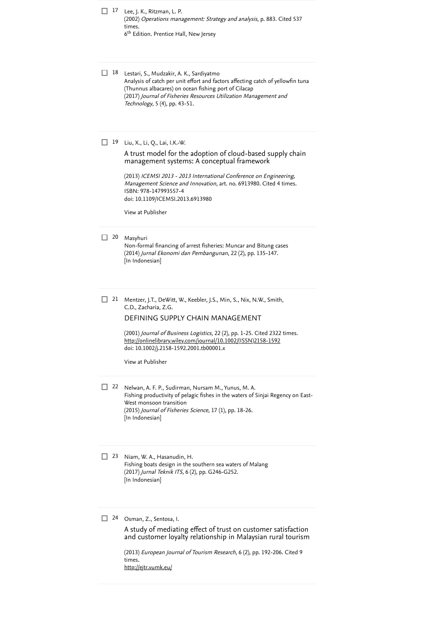Lee, J. K., Ritzman, L. P. 17 (2002) [Operations management: Strategy and](https://www.scopus.com/search/submit/citedby.uri?eid=2-s2.0-85123303758&refeid=2-s2.0-0003521181&src=s&origin=reflist&refstat=dummy) analysis, p. 883. Cited 537 . times 6<sup>th</sup> Edition. Prentice Hall, New Jersey

Lestari, S., Mudzakir, A. K., Sardiyatmo 18 Analysis of catch per unit effort and factors affecting catch of yellowfin tuna (Thunnus albacares) on ocean fishing port of Cilacap (2017) Journal of Fisheries Resources Utilization Management and Technology, 5 (4), pp. 43-51.

19 Liu, X., Li, Q., Lai, I.K.-W.

### [A trust model for the adoption of cloud-based supply chain](https://www.scopus.com/record/display.uri?eid=2-s2.0-84949928175&origin=reflist&sort=plf-f&src=s&st1=The+role+of+trust+as+a+mediator+on+the+effect+of+productivity+in+the+fishing-industry+supply+chain+performance+in+Riau%2cIndonesia&sid=9cabc7e40a57d6588e45135ca54bd08e&sot=b&sdt=b&sl=144&s=TITLE-ABS-KEY%28The+role+of+trust+as+a+mediator+on+the+effect+of+productivity+in+the+fishing-industry+supply+chain+performance+in+Riau%2c+Indonesia%29) management systems: A conceptual framework

(2013) ICEMSI 2013 - 2013 International Conference on Engineering, *Management Science and Innovation*, art. no. 6913980. [Cited 4 times](https://www.scopus.com/search/submit/citedby.uri?eid=2-s2.0-85123303758&refeid=2-s2.0-84949928175&src=s&origin=reflist&refstat=core). ISBN: 978-147993557-4 doi: 10.1109/ICEMSI.2013.6913980

[View at Publisher](https://www.scopus.com/redirect/linking.uri?targetURL=https%3a%2f%2fdoi.org%2f10.1109%2fICEMSI.2013.6913980&locationID=3&categoryID=4&eid=2-s2.0-84949928175&issn=&linkType=ViewAtPublisher&year=2013&origin=reflist&dig=4c883355900ecb2e394767e3ec60708d)

#### 20 Masyhuri

Non-formal financing of arrest fisheries: Muncar and Bitung cases (2014) Jurnal Ekonomi dan Pembangunan, 22 (2), pp. 135-147. [In Indonesian]

Mentzer, J.T., DeWitt, W., Keebler, J.S., Min, S., Nix, N.W., Smith, C.D., Zacharia, Z.G.  $\Box$  21

### [DEFINING SUPPLY CHAIN MANAGEMENT](https://www.scopus.com/record/display.uri?eid=2-s2.0-85063852217&origin=reflist&sort=plf-f&src=s&st1=The+role+of+trust+as+a+mediator+on+the+effect+of+productivity+in+the+fishing-industry+supply+chain+performance+in+Riau%2cIndonesia&sid=9cabc7e40a57d6588e45135ca54bd08e&sot=b&sdt=b&sl=144&s=TITLE-ABS-KEY%28The+role+of+trust+as+a+mediator+on+the+effect+of+productivity+in+the+fishing-industry+supply+chain+performance+in+Riau%2c+Indonesia%29)

(2001) *Journal of Business Logistics*, 22 (2), pp. 1-25. [Cited 2322 times](https://www.scopus.com/search/submit/citedby.uri?eid=2-s2.0-85123303758&refeid=2-s2.0-85063852217&src=s&origin=reflist&refstat=core). doi: 10.1002/j.2158-1592.2001.tb00001.x [http://onlinelibrary.wiley.com/journal/10.1002/\(ISSN\)2158-1592](http://onlinelibrary.wiley.com/journal/10.1002/(ISSN)2158-1592)

[View at Publisher](https://www.scopus.com/redirect/linking.uri?targetURL=https%3a%2f%2fdoi.org%2f10.1002%2fj.2158-1592.2001.tb00001.x&locationID=3&categoryID=4&eid=2-s2.0-85063852217&issn=21581592&linkType=ViewAtPublisher&year=2001&origin=reflist&dig=df41bee36f339677896eb51529afdca8)

Nelwan, A. F. P., Sudirman, Nursam M., Yunus, M. A. 22 Fishing productivity of pelagic fishes in the waters of Sinjai Regency on East- West monsoon transition (2015) Journal of Fisheries Science, 17 (1), pp. 18-26. [In Indonesian]

23 Niam, W. A., Hasanudin, H. Fishing boats design in the southern sea waters of Malang (2017) Jurnal Teknik ITS, 6 (2), pp. G246-G252. [In Indonesian]

### Osman, Z., Sentosa, I. 24

A study of mediating effect of trust on customer satisfaction [and customer loyalty relationship in Malaysian rural tourism](https://www.scopus.com/record/display.uri?eid=2-s2.0-84886555176&origin=reflist&sort=plf-f&src=s&st1=The+role+of+trust+as+a+mediator+on+the+effect+of+productivity+in+the+fishing-industry+supply+chain+performance+in+Riau%2cIndonesia&sid=9cabc7e40a57d6588e45135ca54bd08e&sot=b&sdt=b&sl=144&s=TITLE-ABS-KEY%28The+role+of+trust+as+a+mediator+on+the+effect+of+productivity+in+the+fishing-industry+supply+chain+performance+in+Riau%2c+Indonesia%29)

(2013) [European Journal of Tourism Research](https://www.scopus.com/search/submit/citedby.uri?eid=2-s2.0-85123303758&refeid=2-s2.0-84886555176&src=s&origin=reflist&refstat=core), 6 (2), pp. 192-206. Cited 9 . times <http://ejtr.vumk.eu/>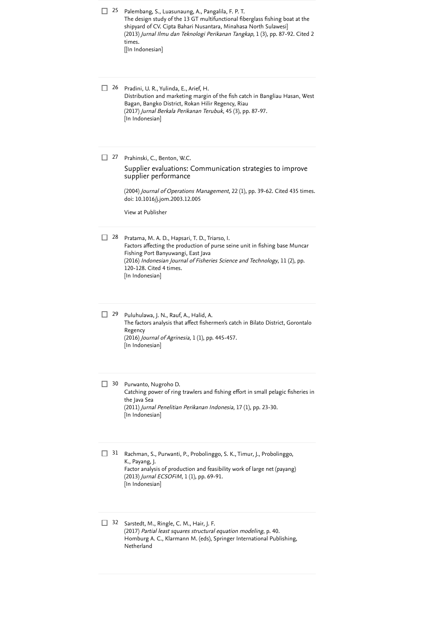| 25 | Palembang, S., Luasunaung, A., Pangalila, F. P. T.<br>The design study of the 13 GT multifunctional fiberglass fishing boat at the<br>shipyard of CV. Cipta Bahari Nusantara, Minahasa North Sulawesi]<br>(2013) Jurnal Ilmu dan Teknologi Perikanan Tangkap, 1 (3), pp. 87-92. Cited 2<br>times.<br>[[In Indonesian] |
|----|-----------------------------------------------------------------------------------------------------------------------------------------------------------------------------------------------------------------------------------------------------------------------------------------------------------------------|
| 26 | Pradini, U. R., Yulinda, E., Arief, H.<br>Distribution and marketing margin of the fish catch in Bangliau Hasan, West<br>Bagan, Bangko District, Rokan Hilir Regency, Riau<br>(2017) Jurnal Berkala Perikanan Terubuk, 45 (3), pp. 87-97.<br>[In Indonesian]                                                          |
| 27 | Prahinski, C., Benton, W.C.<br>Supplier evaluations: Communication strategies to improve<br>supplier performance<br>(2004) Journal of Operations Management, 22 (1), pp. 39-62. Cited 435 times.<br>doi: 10.1016/j.jom.2003.12.005<br>View at Publisher                                                               |
| 28 | Pratama, M. A. D., Hapsari, T. D., Triarso, I.<br>Factors affecting the production of purse seine unit in fishing base Muncar<br>Fishing Port Banyuwangi, East Java<br>(2016) Indonesian Journal of Fisheries Science and Technology, 11 (2), pp.<br>120-128. Cited 4 times.<br>[In Indonesian]                       |
| 29 | Puluhulawa, J. N., Rauf, A., Halid, A.<br>The factors analysis that affect fishermen's catch in Bilato District, Gorontalo<br>Regency<br>(2016) Journal of Agrinesia, 1 (1), pp. 445-457.<br>[In Indonesian]                                                                                                          |
| 30 | Purwanto, Nugroho D.<br>Catching power of ring trawlers and fishing effort in small pelagic fisheries in<br>the Java Sea<br>(2011) Jurnal Penelitian Perikanan Indonesia, 17 (1), pp. 23-30.<br>[In Indonesian]                                                                                                       |
| 31 | Rachman, S., Purwanti, P., Probolinggo, S. K., Timur, J., Probolinggo,<br>K., Payang, J.<br>Factor analysis of production and feasibility work of large net (payang)<br>(2013) Jurnal ECSOFiM, 1 (1), pp. 69-91.<br>[In Indonesian]                                                                                   |
| 32 | Sarstedt, M., Ringle, C. M., Hair, J. F.<br>(2017) Partial least squares structural equation modeling, p. 40.                                                                                                                                                                                                         |

Homburg A. C., Klarmann M. (eds), Springer International Publishing, Netherland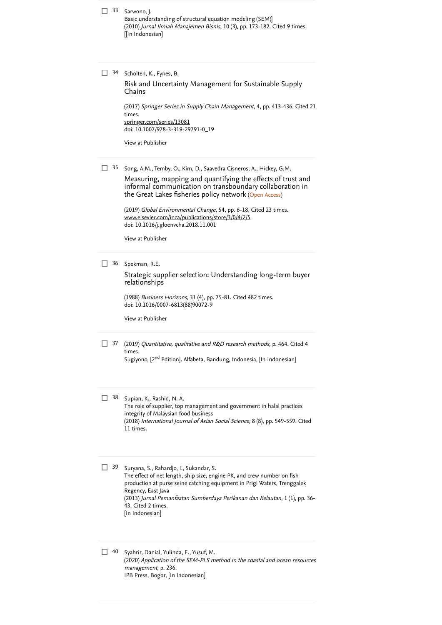33 Sarwono, J. Basic understanding of structural equation modeling (SEM)] (2010) *Jurnal Ilmiah Manajemen Bisnis*, 10 (3), pp. 173-182. [Cited 9 times](https://www.scopus.com/search/submit/citedby.uri?eid=2-s2.0-85123303758&refeid=2-s2.0-85079273441&src=s&origin=reflist&refstat=dummy). [[In Indonesian]

#### 34 Scholten, K., Fynes, B.

[Risk and Uncertainty Management for Sustainable Supply](https://www.scopus.com/record/display.uri?eid=2-s2.0-85028717795&origin=reflist&sort=plf-f&src=s&st1=The+role+of+trust+as+a+mediator+on+the+effect+of+productivity+in+the+fishing-industry+supply+chain+performance+in+Riau%2cIndonesia&sid=9cabc7e40a57d6588e45135ca54bd08e&sot=b&sdt=b&sl=144&s=TITLE-ABS-KEY%28The+role+of+trust+as+a+mediator+on+the+effect+of+productivity+in+the+fishing-industry+supply+chain+performance+in+Riau%2c+Indonesia%29) Chains

(2017) [Springer Series in Supply Chain Management](https://www.scopus.com/search/submit/citedby.uri?eid=2-s2.0-85123303758&refeid=2-s2.0-85028717795&src=s&origin=reflist&refstat=core), 4, pp. 413-436. Cited 21 . times doi: 10.1007/978-3-319-29791-0\_19 [springer.com/series/13081](https://www.scopus.com/record/springer.com/series/13081)

[View at Publisher](https://www.scopus.com/redirect/linking.uri?targetURL=https%3a%2f%2fdoi.org%2f10.1007%2f978-3-319-29791-0_19&locationID=3&categoryID=4&eid=2-s2.0-85028717795&issn=23656409&linkType=ViewAtPublisher&year=2017&origin=reflist&dig=4d47d69b2225b2271390e8c4c3b2ca5c)

35 Song, A.M., Temby, O., Kim, D., Saavedra Cisneros, A., Hickey, G.M.

the Great Lakes fisheries policy network (Open Access) [Measuring, mapping and quantifying the effects of trust and](https://www.scopus.com/record/display.uri?eid=2-s2.0-85056801130&origin=reflist&sort=plf-f&src=s&st1=The+role+of+trust+as+a+mediator+on+the+effect+of+productivity+in+the+fishing-industry+supply+chain+performance+in+Riau%2cIndonesia&sid=9cabc7e40a57d6588e45135ca54bd08e&sot=b&sdt=b&sl=144&s=TITLE-ABS-KEY%28The+role+of+trust+as+a+mediator+on+the+effect+of+productivity+in+the+fishing-industry+supply+chain+performance+in+Riau%2c+Indonesia%29) informal communication on transboundary collaboration in

(2019) *Global Environmental Change*, 54, pp. 6-18. [Cited 23 times](https://www.scopus.com/search/submit/citedby.uri?eid=2-s2.0-85123303758&refeid=2-s2.0-85056801130&src=s&origin=reflist&refstat=core). doi: 10.1016/j.gloenvcha.2018.11.001 [www.elsevier.com/inca/publications/store/3/0/4/2/5](https://www.scopus.com/record/www.elsevier.com/inca/publications/store/3/0/4/2/5)

[View at Publisher](https://www.scopus.com/redirect/linking.uri?targetURL=https%3a%2f%2fdoi.org%2f10.1016%2fj.gloenvcha.2018.11.001&locationID=3&categoryID=4&eid=2-s2.0-85056801130&issn=09593780&linkType=ViewAtPublisher&year=2019&origin=reflist&dig=68e02f52bf1499a51fe8a990df2120d8)

36 Spekman, R.E.

[Strategic supplier selection: Understanding long-term buyer](https://www.scopus.com/record/display.uri?eid=2-s2.0-34248669420&origin=reflist&sort=plf-f&src=s&st1=The+role+of+trust+as+a+mediator+on+the+effect+of+productivity+in+the+fishing-industry+supply+chain+performance+in+Riau%2cIndonesia&sid=9cabc7e40a57d6588e45135ca54bd08e&sot=b&sdt=b&sl=144&s=TITLE-ABS-KEY%28The+role+of+trust+as+a+mediator+on+the+effect+of+productivity+in+the+fishing-industry+supply+chain+performance+in+Riau%2c+Indonesia%29) relationships

(1988) *Business Horizons*, 31 (4), pp. 75-81. [Cited 482 times](https://www.scopus.com/search/submit/citedby.uri?eid=2-s2.0-85123303758&refeid=2-s2.0-34248669420&src=s&origin=reflist&refstat=core). doi: 10.1016/0007-6813(88)90072-9

[View at Publisher](https://www.scopus.com/redirect/linking.uri?targetURL=https%3a%2f%2fdoi.org%2f10.1016%2f0007-6813%2888%2990072-9&locationID=3&categoryID=4&eid=2-s2.0-34248669420&issn=00076813&linkType=ViewAtPublisher&year=1988&origin=reflist&dig=46099dea698c88c9e78acc868c4a58d1)

- $37$  (2019) [Quantitative, qualitative and R&D research methods](https://www.scopus.com/search/submit/citedby.uri?eid=2-s2.0-85123303758&refeid=2-s2.0-85102376778&src=s&origin=reflist&refstat=dummy), p. 464. Cited 4 . times Sugiyono, [2<sup>nd</sup> Edition]. Alfabeta, Bandung, Indonesia, [In Indonesian]
- Supian, K., Rashid, N. A. The role of supplier, top management and government in halal practices integrity of Malaysian food business  $\Box$  38

(2018) [International Journal of Asian Social Science](https://www.scopus.com/search/submit/citedby.uri?eid=2-s2.0-85123303758&refeid=2-s2.0-85065983471&src=s&origin=reflist&refstat=dummy), 8 (8), pp. 549-559. Cited . 11 times

Suryana, S., Rahardjo, I., Sukandar, S. The effect of net length, ship size, engine PK, and crew number on fish production at purse seine catching equipment in Prigi Waters, Trenggalek Regency, East Java (2013) Jurnal Pemanfaatan Sumberdaya Perikanan dan Kelautan, 1 (1), pp. 36- 43. [Cited 2 times](https://www.scopus.com/search/submit/citedby.uri?eid=2-s2.0-85123303758&refeid=2-s2.0-85121866785&src=s&origin=reflist&refstat=dummy). [In Indonesian]  $\Box$  39

40 Syahrir, Danial, Yulinda, E., Yusuf, M. (2020) Application of the SEM-PLS method in the coastal and ocean resources management, p. 236. IPB Press, Bogor, [In Indonesian]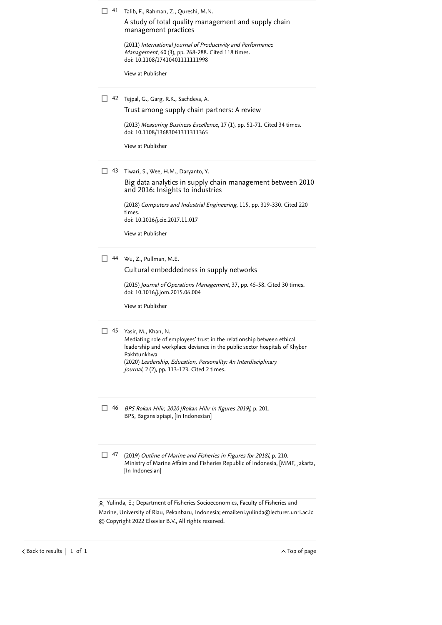41 Talib, F., Rahman, Z., Qureshi, M.N.

[A study of total quality management and supply chain](https://www.scopus.com/record/display.uri?eid=2-s2.0-79952288735&origin=reflist&sort=plf-f&src=s&st1=The+role+of+trust+as+a+mediator+on+the+effect+of+productivity+in+the+fishing-industry+supply+chain+performance+in+Riau%2cIndonesia&sid=9cabc7e40a57d6588e45135ca54bd08e&sot=b&sdt=b&sl=144&s=TITLE-ABS-KEY%28The+role+of+trust+as+a+mediator+on+the+effect+of+productivity+in+the+fishing-industry+supply+chain+performance+in+Riau%2c+Indonesia%29) management practices

(2011) International Journal of Productivity and Performance *Management*, 60 (3), pp. 268-288. [Cited 118 times](https://www.scopus.com/search/submit/citedby.uri?eid=2-s2.0-85123303758&refeid=2-s2.0-79952288735&src=s&origin=reflist&refstat=core). doi: 10.1108/17410401111111998

[View at Publisher](https://www.scopus.com/redirect/linking.uri?targetURL=https%3a%2f%2fdoi.org%2f10.1108%2f17410401111111998&locationID=3&categoryID=4&eid=2-s2.0-79952288735&issn=17410401&linkType=ViewAtPublisher&year=2011&origin=reflist&dig=37aed2df86e878921527923cbf7a9f29)

| $\Box$ 42 Tejpal, G., Garg, R.K., Sachdeva, A. |
|------------------------------------------------|
| Trust among supply chain partners: A review    |

(2013) Measuring Business Excellence, 17 (1), pp. 51-71. [Cited 34 times](https://www.scopus.com/search/submit/citedby.uri?eid=2-s2.0-85123303758&refeid=2-s2.0-84874815665&src=s&origin=reflist&refstat=core). doi: 10.1108/13683041311311365

[View at Publisher](https://www.scopus.com/redirect/linking.uri?targetURL=https%3a%2f%2fdoi.org%2f10.1108%2f13683041311311365&locationID=3&categoryID=4&eid=2-s2.0-84874815665&issn=13683047&linkType=ViewAtPublisher&year=2013&origin=reflist&dig=ce84e3b71ae7008ba3085b054c24f1fe)

43 Tiwari, S., Wee, H.M., Daryanto, Y.

[Big data analytics in supply chain management between 2010](https://www.scopus.com/record/display.uri?eid=2-s2.0-85034977968&origin=reflist&sort=plf-f&src=s&st1=The+role+of+trust+as+a+mediator+on+the+effect+of+productivity+in+the+fishing-industry+supply+chain+performance+in+Riau%2cIndonesia&sid=9cabc7e40a57d6588e45135ca54bd08e&sot=b&sdt=b&sl=144&s=TITLE-ABS-KEY%28The+role+of+trust+as+a+mediator+on+the+effect+of+productivity+in+the+fishing-industry+supply+chain+performance+in+Riau%2c+Indonesia%29) and 2016: Insights to industries

(2018) [Computers and Industrial Engineering](https://www.scopus.com/search/submit/citedby.uri?eid=2-s2.0-85123303758&refeid=2-s2.0-85034977968&src=s&origin=reflist&refstat=core), 115, pp. 319-330. Cited 220 . times doi: 10.1016/j.cie.2017.11.017

[View at Publisher](https://www.scopus.com/redirect/linking.uri?targetURL=https%3a%2f%2fdoi.org%2f10.1016%2fj.cie.2017.11.017&locationID=3&categoryID=4&eid=2-s2.0-85034977968&issn=03608352&linkType=ViewAtPublisher&year=2018&origin=reflist&dig=ee226157f801aedc77c27e9b7c18be8b)

Wu, Z., Pullman, M.E. 44

[Cultural embeddedness in supply networks](https://www.scopus.com/record/display.uri?eid=2-s2.0-84938952307&origin=reflist&sort=plf-f&src=s&st1=The+role+of+trust+as+a+mediator+on+the+effect+of+productivity+in+the+fishing-industry+supply+chain+performance+in+Riau%2cIndonesia&sid=9cabc7e40a57d6588e45135ca54bd08e&sot=b&sdt=b&sl=144&s=TITLE-ABS-KEY%28The+role+of+trust+as+a+mediator+on+the+effect+of+productivity+in+the+fishing-industry+supply+chain+performance+in+Riau%2c+Indonesia%29)

(2015) *Journal of Operations Management*, 37, pp. 45-58. [Cited 30 times](https://www.scopus.com/search/submit/citedby.uri?eid=2-s2.0-85123303758&refeid=2-s2.0-84938952307&src=s&origin=reflist&refstat=core). doi: 10.1016/j.jom.2015.06.004

[View at Publisher](https://www.scopus.com/redirect/linking.uri?targetURL=https%3a%2f%2fdoi.org%2f10.1016%2fj.jom.2015.06.004&locationID=3&categoryID=4&eid=2-s2.0-84938952307&issn=02726963&linkType=ViewAtPublisher&year=2015&origin=reflist&dig=43f5523e37248a6f5225863e51218d51)

### 45 Yasir, M., Khan, N.

Mediating role of employees' trust in the relationship between ethical leadership and workplace deviance in the public sector hospitals of Khyber Pakhtunkhwa (2020) Leadership, Education, Personality: An Interdisciplinary Journal, 2 (2), pp. 113-123. [Cited 2 times](https://www.scopus.com/search/submit/citedby.uri?eid=2-s2.0-85123303758&refeid=2-s2.0-85111703187&src=s&origin=reflist&refstat=dummy).

- BPS Rokan Hilir, 2020 [Rokan Hilir in figures 2019], p. 201. 46 BPS, Bagansiapiapi, [In Indonesian]
- <sup>47</sup> (2019) Outline of Marine and Fisheries in Figures for 2018], p. 210. Ministry of Marine Affairs and Fisheries Republic of Indonesia, [MMF, Jakarta, [In Indonesian]

 Yulinda, E.; Department of Fisheries Socioeconomics, Faculty of Fisheries and Marine, University of Riau, Pekanbaru, Indonesia; email: [eni.yulinda@lecturer.unri.ac.id](mailto:eni.yulinda@lecturer.unri.ac.id) © Copyright 2022 Elsevier B.V., All rights reserved.